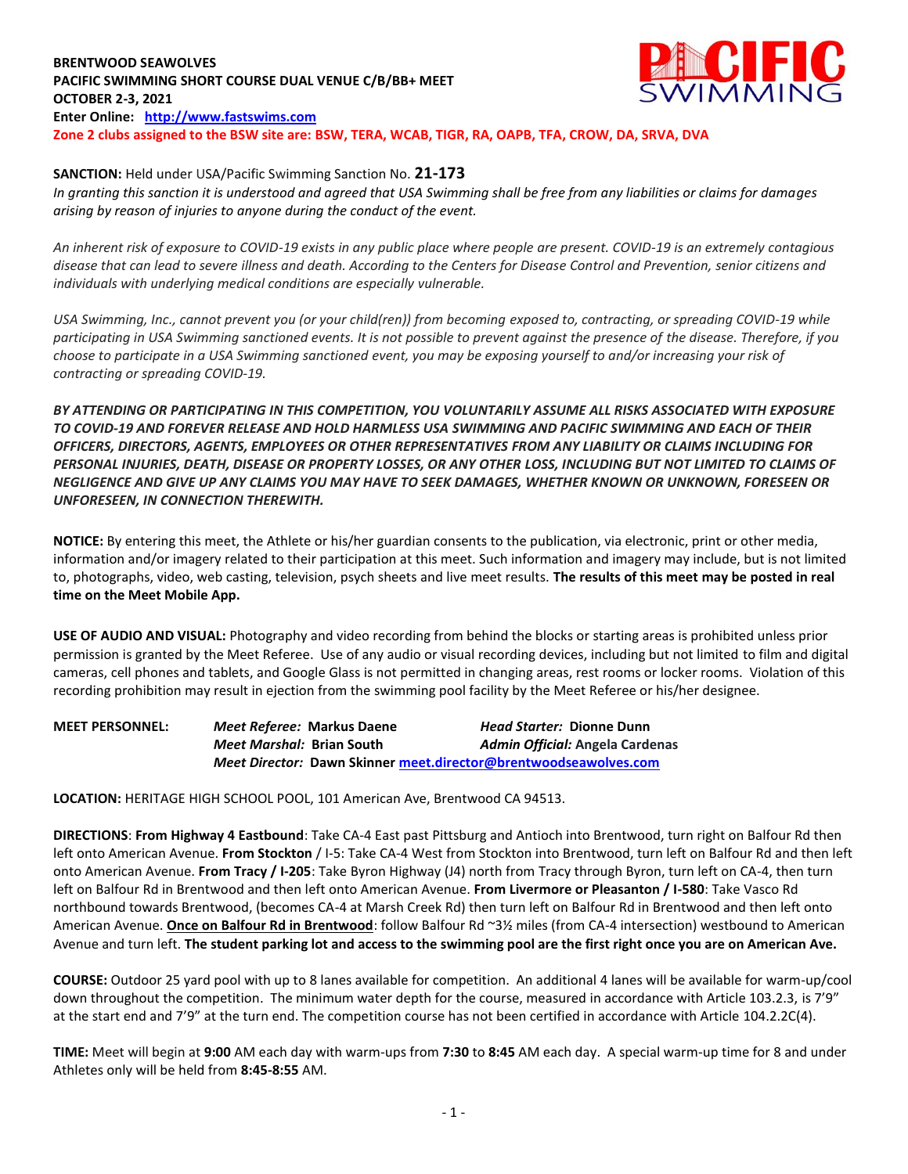## **BRENTWOOD SEAWOLVES PACIFIC SWIMMING SHORT COURSE DUAL VENUE C/B/BB+ MEET OCTOBER 2-3, 2021 Enter Online: [http://www.fastswims.com](http://www.fastswims.com/) Zone 2 clubs assigned to the BSW site are: BSW, TERA, WCAB, TIGR, RA, OAPB, TFA, CROW, DA, SRVA, DVA**



## **SANCTION:** Held under USA/Pacific Swimming Sanction No. **21-173**

*In granting this sanction it is understood and agreed that USA Swimming shall be free from any liabilities or claims for damages arising by reason of injuries to anyone during the conduct of the event.* 

*An inherent risk of exposure to COVID-19 exists in any public place where people are present. COVID-19 is an extremely contagious disease that can lead to severe illness and death. According to the Centers for Disease Control and Prevention, senior citizens and individuals with underlying medical conditions are especially vulnerable.*

*USA Swimming, Inc., cannot prevent you (or your child(ren)) from becoming exposed to, contracting, or spreading COVID-19 while participating in USA Swimming sanctioned events. It is not possible to prevent against the presence of the disease. Therefore, if you choose to participate in a USA Swimming sanctioned event, you may be exposing yourself to and/or increasing your risk of contracting or spreading COVID-19.*

*BY ATTENDING OR PARTICIPATING IN THIS COMPETITION, YOU VOLUNTARILY ASSUME ALL RISKS ASSOCIATED WITH EXPOSURE TO COVID-19 AND FOREVER RELEASE AND HOLD HARMLESS USA SWIMMING AND PACIFIC SWIMMING AND EACH OF THEIR OFFICERS, DIRECTORS, AGENTS, EMPLOYEES OR OTHER REPRESENTATIVES FROM ANY LIABILITY OR CLAIMS INCLUDING FOR PERSONAL INJURIES, DEATH, DISEASE OR PROPERTY LOSSES, OR ANY OTHER LOSS, INCLUDING BUT NOT LIMITED TO CLAIMS OF NEGLIGENCE AND GIVE UP ANY CLAIMS YOU MAY HAVE TO SEEK DAMAGES, WHETHER KNOWN OR UNKNOWN, FORESEEN OR UNFORESEEN, IN CONNECTION THEREWITH.*

**NOTICE:** By entering this meet, the Athlete or his/her guardian consents to the publication, via electronic, print or other media, information and/or imagery related to their participation at this meet. Such information and imagery may include, but is not limited to, photographs, video, web casting, television, psych sheets and live meet results. **The results of this meet may be posted in real time on the Meet Mobile App.**

**USE OF AUDIO AND VISUAL:** Photography and video recording from behind the blocks or starting areas is prohibited unless prior permission is granted by the Meet Referee. Use of any audio or visual recording devices, including but not limited to film and digital cameras, cell phones and tablets, and Google Glass is not permitted in changing areas, rest rooms or locker rooms. Violation of this recording prohibition may result in ejection from the swimming pool facility by the Meet Referee or his/her designee.

| <b>MEET PERSONNEL:</b> | Meet Referee: Markus Daene                                       |  | Head Starter: Dionne Dunn              |  |  |  |  |  |
|------------------------|------------------------------------------------------------------|--|----------------------------------------|--|--|--|--|--|
|                        | <i>Meet Marshal: Brian South</i>                                 |  | <b>Admin Official: Angela Cardenas</b> |  |  |  |  |  |
|                        | Meet Director: Dawn Skinner meet.director@brentwoodseawolves.com |  |                                        |  |  |  |  |  |

**LOCATION:** HERITAGE HIGH SCHOOL POOL, 101 American Ave, Brentwood CA 94513.

**DIRECTIONS**: **From Highway 4 Eastbound**: Take CA-4 East past Pittsburg and Antioch into Brentwood, turn right on Balfour Rd then left onto American Avenue. **From Stockton** / I-5: Take CA-4 West from Stockton into Brentwood, turn left on Balfour Rd and then left onto American Avenue. **From Tracy / I-205**: Take Byron Highway (J4) north from Tracy through Byron, turn left on CA-4, then turn left on Balfour Rd in Brentwood and then left onto American Avenue. **From Livermore or Pleasanton / I-580**: Take Vasco Rd northbound towards Brentwood, (becomes CA-4 at Marsh Creek Rd) then turn left on Balfour Rd in Brentwood and then left onto American Avenue. **Once on Balfour Rd in Brentwood**: follow Balfour Rd ~3½ miles (from CA-4 intersection) westbound to American Avenue and turn left. **The student parking lot and access to the swimming pool are the first right once you are on American Ave.**

**COURSE:** Outdoor 25 yard pool with up to 8 lanes available for competition. An additional 4 lanes will be available for warm-up/cool down throughout the competition. The minimum water depth for the course, measured in accordance with Article 103.2.3, is 7'9" at the start end and 7'9" at the turn end. The competition course has not been certified in accordance with Article 104.2.2C(4).

**TIME:** Meet will begin at **9:00** AM each day with warm-ups from **7:30** to **8:45** AM each day. A special warm-up time for 8 and under Athletes only will be held from **8:45-8:55** AM.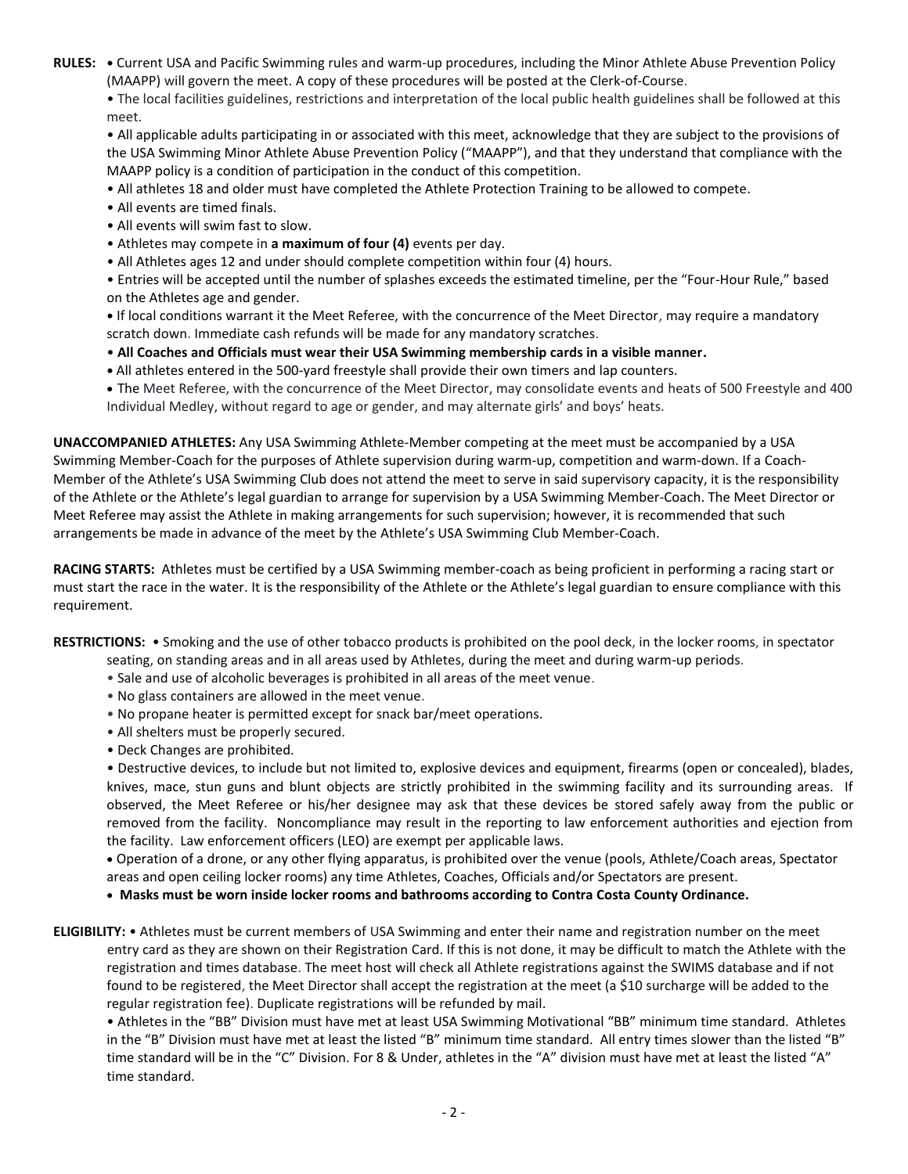**RULES: •** Current USA and Pacific Swimming rules and warm-up procedures, including the Minor Athlete Abuse Prevention Policy (MAAPP) will govern the meet. A copy of these procedures will be posted at the Clerk-of-Course.

• The local facilities guidelines, restrictions and interpretation of the local public health guidelines shall be followed at this meet.

• All applicable adults participating in or associated with this meet, acknowledge that they are subject to the provisions of the USA Swimming Minor Athlete Abuse Prevention Policy ("MAAPP"), and that they understand that compliance with the MAAPP policy is a condition of participation in the conduct of this competition.

- All athletes 18 and older must have completed the Athlete Protection Training to be allowed to compete.
- All events are timed finals.
- All events will swim fast to slow.
- Athletes may compete in **a maximum of four (4)** events per day.
- All Athletes ages 12 and under should complete competition within four (4) hours.

• Entries will be accepted until the number of splashes exceeds the estimated timeline, per the "Four-Hour Rule," based on the Athletes age and gender.

**•** If local conditions warrant it the Meet Referee, with the concurrence of the Meet Director, may require a mandatory scratch down. Immediate cash refunds will be made for any mandatory scratches.

- **All Coaches and Officials must wear their USA Swimming membership cards in a visible manner.**
- **•** All athletes entered in the 500-yard freestyle shall provide their own timers and lap counters.
- The Meet Referee, with the concurrence of the Meet Director, may consolidate events and heats of 500 Freestyle and 400 Individual Medley, without regard to age or gender, and may alternate girls' and boys' heats.

**UNACCOMPANIED ATHLETES:** Any USA Swimming Athlete-Member competing at the meet must be accompanied by a USA Swimming Member-Coach for the purposes of Athlete supervision during warm-up, competition and warm-down. If a Coach-Member of the Athlete's USA Swimming Club does not attend the meet to serve in said supervisory capacity, it is the responsibility of the Athlete or the Athlete's legal guardian to arrange for supervision by a USA Swimming Member-Coach. The Meet Director or Meet Referee may assist the Athlete in making arrangements for such supervision; however, it is recommended that such arrangements be made in advance of the meet by the Athlete's USA Swimming Club Member-Coach.

**RACING STARTS:** Athletes must be certified by a USA Swimming member-coach as being proficient in performing a racing start or must start the race in the water. It is the responsibility of the Athlete or the Athlete's legal guardian to ensure compliance with this requirement.

**RESTRICTIONS:** • Smoking and the use of other tobacco products is prohibited on the pool deck, in the locker rooms, in spectator

- seating, on standing areas and in all areas used by Athletes, during the meet and during warm-up periods.
- Sale and use of alcoholic beverages is prohibited in all areas of the meet venue.
- No glass containers are allowed in the meet venue.
- No propane heater is permitted except for snack bar/meet operations.
- All shelters must be properly secured.
- Deck Changes are prohibited.

• Destructive devices, to include but not limited to, explosive devices and equipment, firearms (open or concealed), blades, knives, mace, stun guns and blunt objects are strictly prohibited in the swimming facility and its surrounding areas. If observed, the Meet Referee or his/her designee may ask that these devices be stored safely away from the public or removed from the facility. Noncompliance may result in the reporting to law enforcement authorities and ejection from the facility. Law enforcement officers (LEO) are exempt per applicable laws.

 Operation of a drone, or any other flying apparatus, is prohibited over the venue (pools, Athlete/Coach areas, Spectator areas and open ceiling locker rooms) any time Athletes, Coaches, Officials and/or Spectators are present.

**Masks must be worn inside locker rooms and bathrooms according to Contra Costa County Ordinance.**

**ELIGIBILITY:** • Athletes must be current members of USA Swimming and enter their name and registration number on the meet entry card as they are shown on their Registration Card. If this is not done, it may be difficult to match the Athlete with the registration and times database. The meet host will check all Athlete registrations against the SWIMS database and if not found to be registered, the Meet Director shall accept the registration at the meet (a \$10 surcharge will be added to the regular registration fee). Duplicate registrations will be refunded by mail.

• Athletes in the "BB" Division must have met at least USA Swimming Motivational "BB" minimum time standard. Athletes in the "B" Division must have met at least the listed "B" minimum time standard. All entry times slower than the listed "B" time standard will be in the "C" Division. For 8 & Under, athletes in the "A" division must have met at least the listed "A" time standard.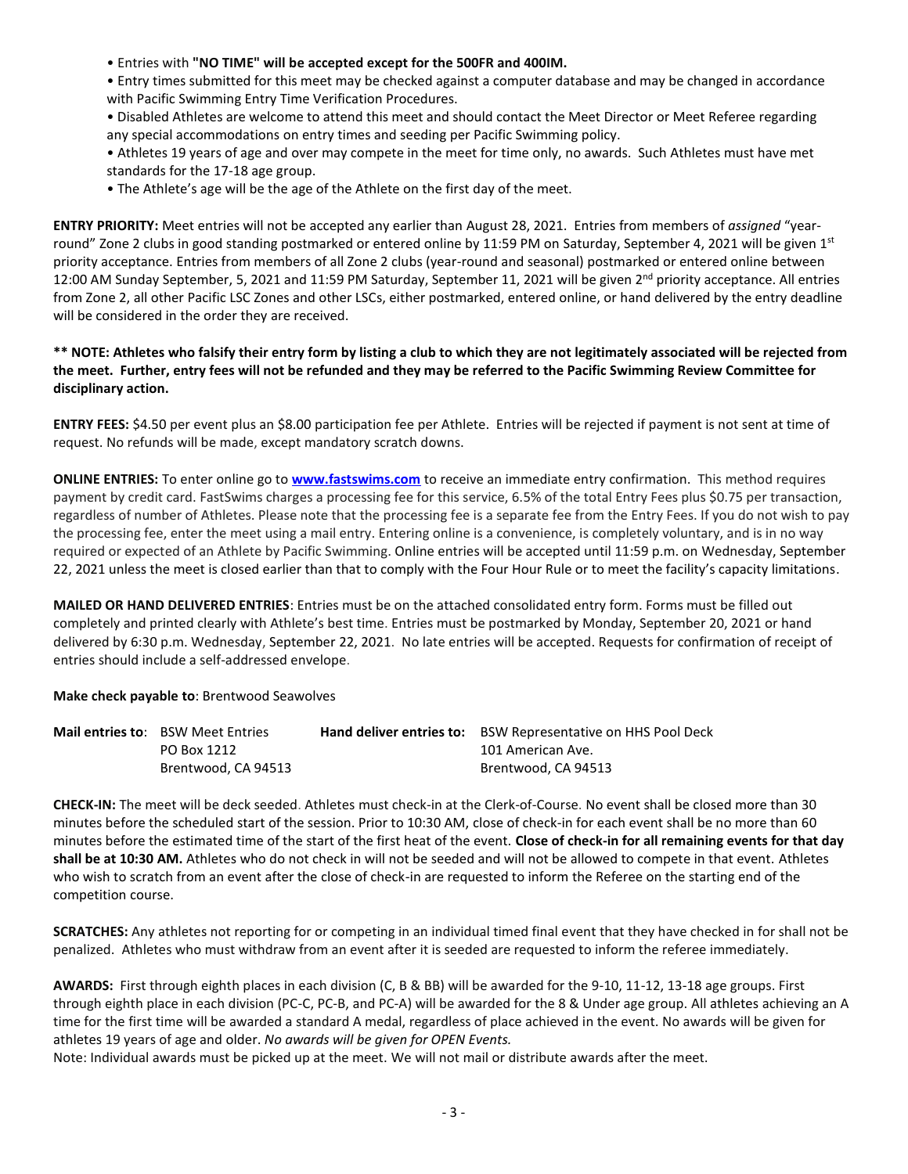- Entries with **"NO TIME" will be accepted except for the 500FR and 400IM.**
- Entry times submitted for this meet may be checked against a computer database and may be changed in accordance with Pacific Swimming Entry Time Verification Procedures.
- Disabled Athletes are welcome to attend this meet and should contact the Meet Director or Meet Referee regarding any special accommodations on entry times and seeding per Pacific Swimming policy.
- Athletes 19 years of age and over may compete in the meet for time only, no awards. Such Athletes must have met standards for the 17-18 age group.
- The Athlete's age will be the age of the Athlete on the first day of the meet.

**ENTRY PRIORITY:** Meet entries will not be accepted any earlier than August 28, 2021. Entries from members of *assigned* "yearround" Zone 2 clubs in good standing postmarked or entered online by 11:59 PM on Saturday, September 4, 2021 will be given  $1^{st}$ priority acceptance. Entries from members of all Zone 2 clubs (year-round and seasonal) postmarked or entered online between 12:00 AM Sunday September, 5, 2021 and 11:59 PM Saturday, September 11, 2021 will be given 2<sup>nd</sup> priority acceptance. All entries from Zone 2, all other Pacific LSC Zones and other LSCs, either postmarked, entered online, or hand delivered by the entry deadline will be considered in the order they are received.

## **\*\* NOTE: Athletes who falsify their entry form by listing a club to which they are not legitimately associated will be rejected from the meet. Further, entry fees will not be refunded and they may be referred to the Pacific Swimming Review Committee for disciplinary action.**

**ENTRY FEES:** \$4.50 per event plus an \$8.00 participation fee per Athlete. Entries will be rejected if payment is not sent at time of request. No refunds will be made, except mandatory scratch downs.

**ONLINE ENTRIES:** To enter online go to **[www.fastswims.com](http://www.fastswims.com/)** to receive an immediate entry confirmation. This method requires payment by credit card. FastSwims charges a processing fee for this service, 6.5% of the total Entry Fees plus \$0.75 per transaction, regardless of number of Athletes. Please note that the processing fee is a separate fee from the Entry Fees. If you do not wish to pay the processing fee, enter the meet using a mail entry. Entering online is a convenience, is completely voluntary, and is in no way required or expected of an Athlete by Pacific Swimming. Online entries will be accepted until 11:59 p.m. on Wednesday, September 22, 2021 unless the meet is closed earlier than that to comply with the Four Hour Rule or to meet the facility's capacity limitations.

**MAILED OR HAND DELIVERED ENTRIES**: Entries must be on the attached consolidated entry form. Forms must be filled out completely and printed clearly with Athlete's best time. Entries must be postmarked by Monday, September 20, 2021 or hand delivered by 6:30 p.m. Wednesday, September 22, 2021. No late entries will be accepted. Requests for confirmation of receipt of entries should include a self-addressed envelope.

**Make check payable to**: Brentwood Seawolves

|                     | <b>Mail entries to: BSW Meet Entries</b> | <b>Hand deliver entries to:</b> BSW Representative on HHS Pool Deck |  |  |  |
|---------------------|------------------------------------------|---------------------------------------------------------------------|--|--|--|
|                     | PO Box 1212                              | 101 American Ave.                                                   |  |  |  |
| Brentwood, CA 94513 |                                          | Brentwood, CA 94513                                                 |  |  |  |

**CHECK-IN:** The meet will be deck seeded. Athletes must check-in at the Clerk-of-Course. No event shall be closed more than 30 minutes before the scheduled start of the session. Prior to 10:30 AM, close of check-in for each event shall be no more than 60 minutes before the estimated time of the start of the first heat of the event. **Close of check-in for all remaining events for that day shall be at 10:30 AM.** Athletes who do not check in will not be seeded and will not be allowed to compete in that event. Athletes who wish to scratch from an event after the close of check-in are requested to inform the Referee on the starting end of the competition course.

**SCRATCHES:** Any athletes not reporting for or competing in an individual timed final event that they have checked in for shall not be penalized. Athletes who must withdraw from an event after it is seeded are requested to inform the referee immediately.

**AWARDS:** First through eighth places in each division (C, B & BB) will be awarded for the 9-10, 11-12, 13-18 age groups. First through eighth place in each division (PC-C, PC-B, and PC-A) will be awarded for the 8 & Under age group. All athletes achieving an A time for the first time will be awarded a standard A medal, regardless of place achieved in the event. No awards will be given for athletes 19 years of age and older. *No awards will be given for OPEN Events.*

Note: Individual awards must be picked up at the meet. We will not mail or distribute awards after the meet.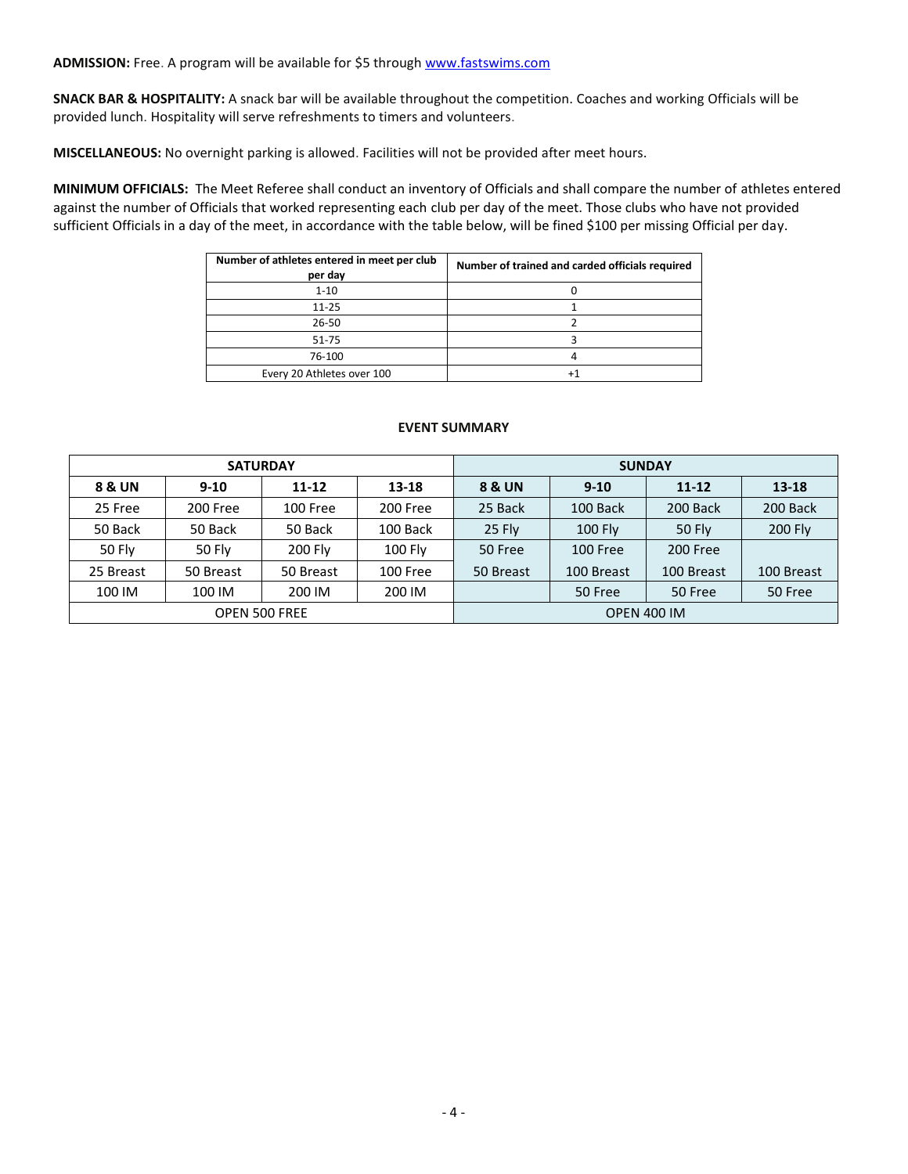**SNACK BAR & HOSPITALITY:** A snack bar will be available throughout the competition. Coaches and working Officials will be provided lunch. Hospitality will serve refreshments to timers and volunteers.

**MISCELLANEOUS:** No overnight parking is allowed. Facilities will not be provided after meet hours.

**MINIMUM OFFICIALS:** The Meet Referee shall conduct an inventory of Officials and shall compare the number of athletes entered against the number of Officials that worked representing each club per day of the meet. Those clubs who have not provided sufficient Officials in a day of the meet, in accordance with the table below, will be fined \$100 per missing Official per day.

| Number of athletes entered in meet per club<br>per day | Number of trained and carded officials required |  |  |  |  |
|--------------------------------------------------------|-------------------------------------------------|--|--|--|--|
| $1 - 10$                                               |                                                 |  |  |  |  |
| $11 - 25$                                              |                                                 |  |  |  |  |
| 26-50                                                  |                                                 |  |  |  |  |
| $51 - 75$                                              |                                                 |  |  |  |  |
| 76-100                                                 |                                                 |  |  |  |  |
| Every 20 Athletes over 100                             | +1                                              |  |  |  |  |

## **EVENT SUMMARY**

|           |               | <b>SATURDAY</b>      |           | <b>SUNDAY</b>      |            |               |            |  |  |
|-----------|---------------|----------------------|-----------|--------------------|------------|---------------|------------|--|--|
| 8 & UN    | $9 - 10$      | $11 - 12$<br>13-18   |           | 8 & UN             | $9 - 10$   | $11 - 12$     | $13 - 18$  |  |  |
| 25 Free   | 200 Free      | 100 Free             | 200 Free  | 25 Back            | 100 Back   | 200 Back      | 200 Back   |  |  |
| 50 Back   | 50 Back       | 50 Back              | 100 Back  | 25 Fly             | 100 Fly    | <b>50 Fly</b> | 200 Fly    |  |  |
| 50 Fly    | <b>50 Fly</b> | 200 Fly              | $100$ Fly | 50 Free            | 100 Free   | 200 Free      |            |  |  |
| 25 Breast | 50 Breast     | 50 Breast            | 100 Free  | 50 Breast          | 100 Breast | 100 Breast    | 100 Breast |  |  |
| 100 IM    | 100 IM        | 200 IM               | 200 IM    |                    | 50 Free    | 50 Free       | 50 Free    |  |  |
|           |               | <b>OPEN 500 FREE</b> |           | <b>OPEN 400 IM</b> |            |               |            |  |  |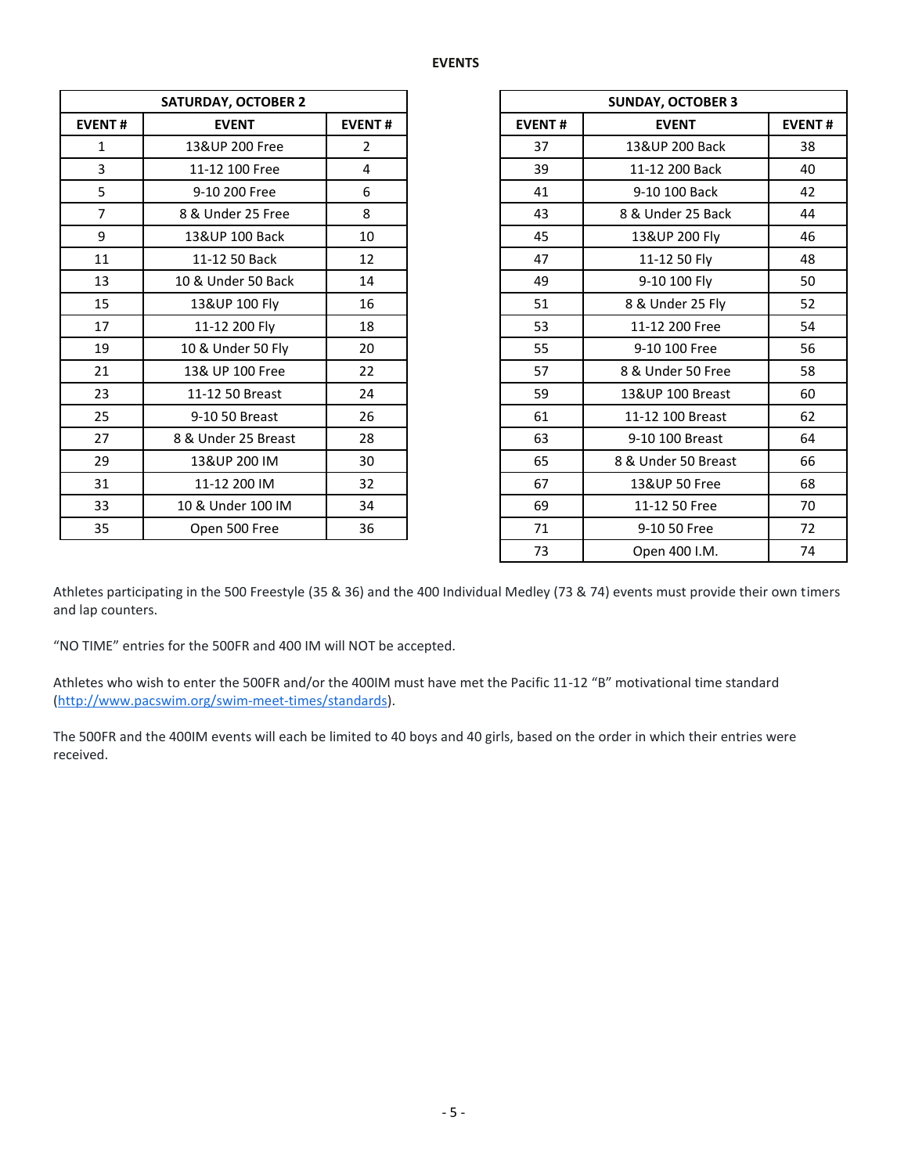| <b>SATURDAY, OCTOBER 2</b> |                     |                |  |  |  |
|----------------------------|---------------------|----------------|--|--|--|
| <b>EVENT#</b>              | <b>EVENT</b>        | <b>EVENT#</b>  |  |  |  |
| $\mathbf{1}$               | 13&UP 200 Free      | $\overline{2}$ |  |  |  |
| 3                          | 11-12 100 Free      | 4              |  |  |  |
| 5                          | 9-10 200 Free       | 6              |  |  |  |
| $\overline{7}$             | 8 & Under 25 Free   | 8              |  |  |  |
| 9                          | 13&UP 100 Back      | 10             |  |  |  |
| 11                         | 11-12 50 Back       | 12             |  |  |  |
| 13                         | 10 & Under 50 Back  | 14             |  |  |  |
| 15                         | 13&UP 100 Fly       | 16             |  |  |  |
| 17                         | 11-12 200 Fly       | 18             |  |  |  |
| 19                         | 10 & Under 50 Fly   | 20             |  |  |  |
| 21                         | 13& UP 100 Free     | 22             |  |  |  |
| 23                         | 11-12 50 Breast     | 24             |  |  |  |
| 25                         | 9-10 50 Breast      | 26             |  |  |  |
| 27                         | 8 & Under 25 Breast | 28             |  |  |  |
| 29                         | 13&UP 200 IM        | 30             |  |  |  |
| 31                         | 11-12 200 IM        | 32             |  |  |  |
| 33                         | 10 & Under 100 IM   | 34             |  |  |  |
| 35                         | Open 500 Free       | 36             |  |  |  |
|                            |                     |                |  |  |  |

| <b>SATURDAY, OCTOBER 2</b> |                     |                |
|----------------------------|---------------------|----------------|
| <b>EVENT#</b>              | <b>EVENT</b>        | <b>EVENT#</b>  |
| $\mathbf{1}$               | 13&UP 200 Free      | $\overline{2}$ |
| 3                          | 11-12 100 Free      | 4              |
| 5                          | 9-10 200 Free       | 6              |
| $\overline{7}$             | 8 & Under 25 Free   | 8              |
| 9                          | 13&UP 100 Back      | 10             |
| 11                         | 11-12 50 Back       | 12             |
| 13                         | 10 & Under 50 Back  | 14             |
| 15                         | 13&UP 100 Fly       | 16             |
| 17                         | 11-12 200 Fly       | 18             |
| 19                         | 10 & Under 50 Fly   | 20             |
| 21                         | 13& UP 100 Free     | 22             |
| 23                         | 11-12 50 Breast     | 24             |
| 25                         | 9-10 50 Breast      | 26             |
| 27                         | 8 & Under 25 Breast | 28             |
| 29                         | 13&UP 200 IM        | 30             |
| 31                         | 11-12 200 IM        | 32             |
| 33                         | 10 & Under 100 IM   | 34             |
| 35                         | Open 500 Free       | 36             |
|                            |                     |                |

Athletes participating in the 500 Freestyle (35 & 36) and the 400 Individual Medley (73 & 74) events must provide their own timers and lap counters.

"NO TIME" entries for the 500FR and 400 IM will NOT be accepted.

Athletes who wish to enter the 500FR and/or the 400IM must have met the Pacific 11-12 "B" motivational time standard [\(http://www.pacswim.org/swim-meet-times/standards\)](http://www.pacswim.org/swim-meet-times/standards).

The 500FR and the 400IM events will each be limited to 40 boys and 40 girls, based on the order in which their entries were received.